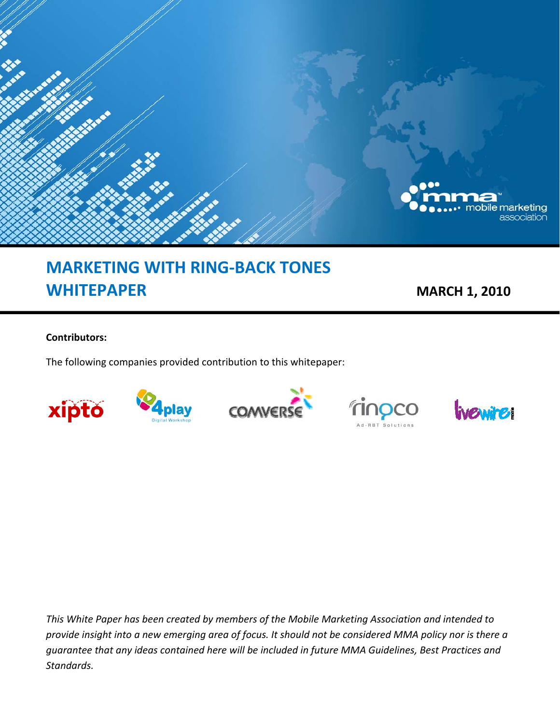

# **MARKETING WITH RING‐BACK TONES WHITEPAPER MARCH 1, 2010**

#### **Contributors:**

The following companies provided contribution to this whitepaper:



*This White Paper has been created by members of the Mobile Marketing Association and intended to* provide insight into a new emerging area of focus. It should not be considered MMA policy nor is there a *guarantee that any ideas contained here will be included in future MMA Guidelines, Best Practices and Standards.*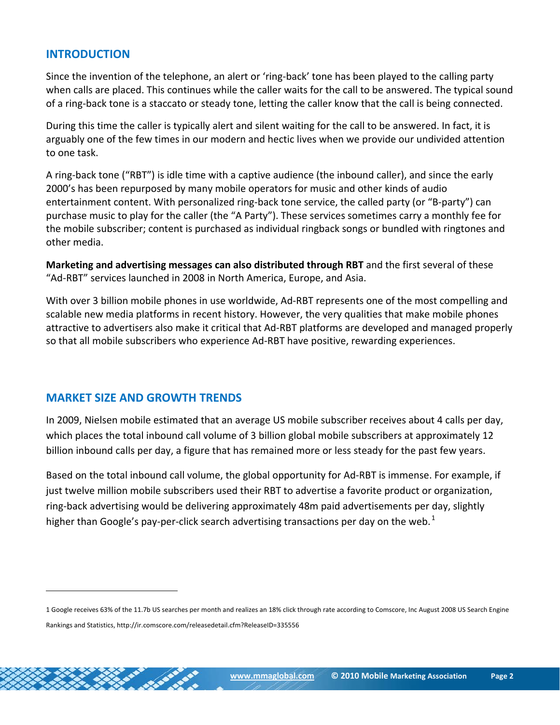# **INTRODUCTION**

Since the invention of the telephone, an alert or 'ring‐back' tone has been played to the calling party when calls are placed. This continues while the caller waits for the call to be answered. The typical sound of a ring‐back tone is a staccato or steady tone, letting the caller know that the call is being connected.

During this time the caller is typically alert and silent waiting for the call to be answered. In fact, it is arguably one of the few times in our modern and hectic lives when we provide our undivided attention to one task.

A ring‐back tone ("RBT") is idle time with a captive audience (the inbound caller), and since the early 2000's has been repurposed by many mobile operators for music and other kinds of audio entertainment content. With personalized ring-back tone service, the called party (or "B-party") can purchase music to play for the caller (the "A Party"). These services sometimes carry a monthly fee for the mobile subscriber; content is purchased as individual ringback songs or bundled with ringtones and other media.

**Marketing and advertising messages can also distributed through RBT** and the first several of these "Ad‐RBT" services launched in 2008 in North America, Europe, and Asia.

With over 3 billion mobile phones in use worldwide, Ad-RBT represents one of the most compelling and scalable new media platforms in recent history. However, the very qualities that make mobile phones attractive to advertisers also make it critical that Ad‐RBT platforms are developed and managed properly so that all mobile subscribers who experience Ad‐RBT have positive, rewarding experiences.

# **MARKET SIZE AND GROWTH TRENDS**

In 2009, Nielsen mobile estimated that an average US mobile subscriber receives about 4 calls per day, which places the total inbound call volume of 3 billion global mobile subscribers at approximately 12 billion inbound calls per day, a figure that has remained more or less steady for the past few years.

Based on the total inbound call volume, the global opportunity for Ad‐RBT is immense. For example, if just twelve million mobile subscribers used their RBT to advertise a favorite product or organization, ring‐back advertising would be delivering approximately 48m paid advertisements per day, slightly higher than Google's pay-per-click search advertising transactions per day on the web.<sup>1</sup>

<sup>1</sup> Google receives 63% of the 11.7b US searches per month and realizes an 18% click through rate according to Comscore, Inc August 2008 US Search Engine Rankings and Statistics, http://ir.comscore.com/releasedetail.cfm?ReleaseID=335556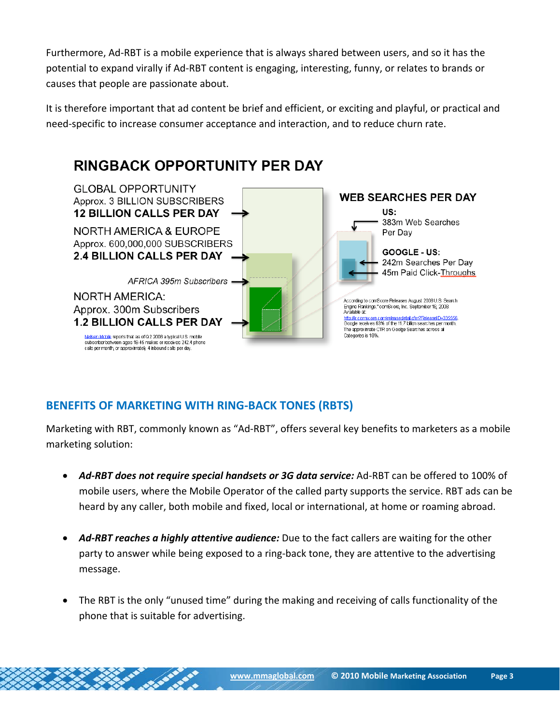Furthermore, Ad‐RBT is a mobile experience that is always shared between users, and so it has the potential to expand virally if Ad‐RBT content is engaging, interesting, funny, or relates to brands or causes that people are passionate about.

It is therefore important that ad content be brief and efficient, or exciting and playful, or practical and need‐specific to increase consumer acceptance and interaction, and to reduce churn rate.



# **BENEFITS OF MARKETING WITH RING‐BACK TONES (RBTS)**

Marketing with RBT, commonly known as "Ad‐RBT", offers several key benefits to marketers as a mobile marketing solution:

- *Ad‐RBT does not require special handsets or 3G data service:* Ad‐RBT can be offered to 100% of mobile users, where the Mobile Operator of the called party supports the service. RBT ads can be heard by any caller, both mobile and fixed, local or international, at home or roaming abroad.
- *Ad‐RBT reaches a highly attentive audience:* Due to the fact callers are waiting for the other party to answer while being exposed to a ring‐back tone, they are attentive to the advertising message.
- The RBT is the only "unused time" during the making and receiving of calls functionality of the phone that is suitable for advertising.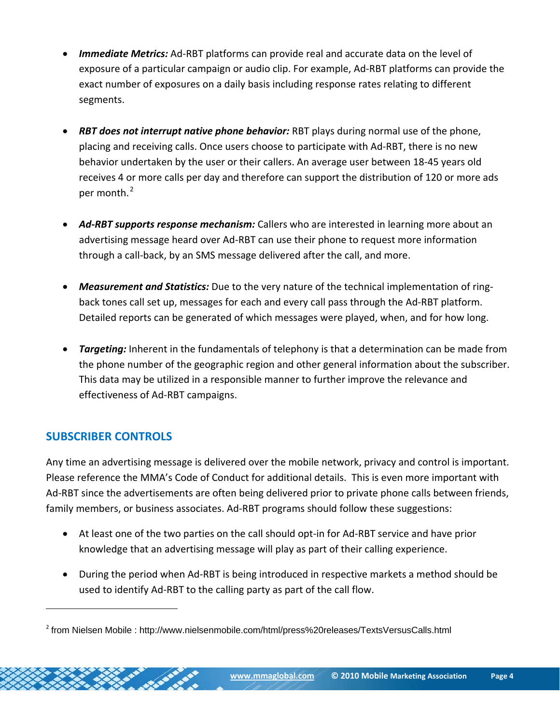- *Immediate Metrics:* Ad-RBT platforms can provide real and accurate data on the level of exposure of a particular campaign or audio clip. For example, Ad‐RBT platforms can provide the exact number of exposures on a daily basis including response rates relating to different segments.
- *RBT does not interrupt native phone behavior:* RBT plays during normal use of the phone, placing and receiving calls. Once users choose to participate with Ad‐RBT, there is no new behavior undertaken by the user or their callers. An average user between 18‐45 years old receives 4 or more calls per day and therefore can support the distribution of 120 or more ads per month.<sup>2</sup>
- *Ad‐RBT supports response mechanism:* Callers who are interested in learning more about an advertising message heard over Ad‐RBT can use their phone to request more information through a call‐back, by an SMS message delivered after the call, and more.
- *Measurement and Statistics:* Due to the very nature of the technical implementation of ring‐ back tones call set up, messages for each and every call pass through the Ad‐RBT platform. Detailed reports can be generated of which messages were played, when, and for how long.
- *Targeting:* Inherent in the fundamentals of telephony is that a determination can be made from the phone number of the geographic region and other general information about the subscriber. This data may be utilized in a responsible manner to further improve the relevance and effectiveness of Ad‐RBT campaigns.

# **SUBSCRIBER CONTROLS**

Any time an advertising message is delivered over the mobile network, privacy and control is important. Please reference the MMA's Code of Conduct for additional details. This is even more important with Ad-RBT since the advertisements are often being delivered prior to private phone calls between friends, family members, or business associates. Ad-RBT programs should follow these suggestions:

- At least one of the two parties on the call should opt-in for Ad-RBT service and have prior knowledge that an advertising message will play as part of their calling experience.
- During the period when Ad‐RBT is being introduced in respective markets a method should be used to identify Ad‐RBT to the calling party as part of the call flow.

<sup>&</sup>lt;sup>2</sup> from Nielsen Mobile : http://www.nielsenmobile.com/html/press%20releases/TextsVersusCalls.html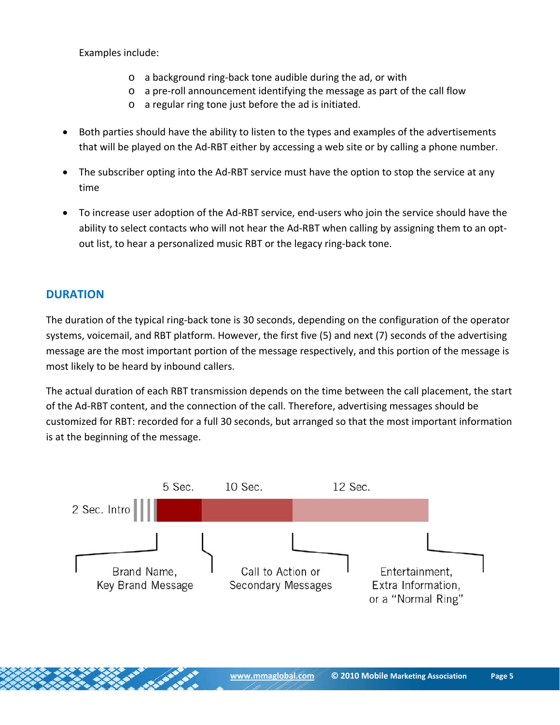Examples include:

- o a background ring‐back tone audible during the ad, or with
- o a pre‐roll announcement identifying the message as part of the call flow
- o a regular ring tone just before the ad is initiated.
- Both parties should have the ability to listen to the types and examples of the advertisements that will be played on the Ad‐RBT either by accessing a web site or by calling a phone number.
- The subscriber opting into the Ad-RBT service must have the option to stop the service at any time
- To increase user adoption of the Ad‐RBT service, end‐users who join the service should have the ability to select contacts who will not hear the Ad-RBT when calling by assigning them to an optout list, to hear a personalized music RBT or the legacy ring‐back tone.

# **DURATION**

The duration of the typical ring‐back tone is 30 seconds, depending on the configuration of the operator systems, voicemail, and RBT platform. However, the first five (5) and next (7) seconds of the advertising message are the most important portion of the message respectively, and this portion of the message is most likely to be heard by inbound callers.

The actual duration of each RBT transmission depends on the time between the call placement, the start of the Ad‐RBT content, and the connection of the call. Therefore, advertising messages should be customized for RBT: recorded for a full 30 seconds, but arranged so that the most important information is at the beginning of the message.

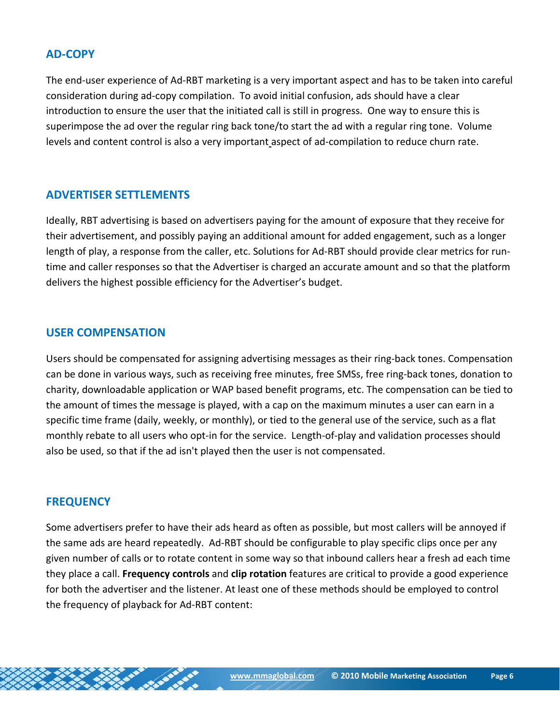# **AD‐COPY**

The end‐user experience of Ad‐RBT marketing is a very important aspect and has to be taken into careful consideration during ad‐copy compilation. To avoid initial confusion, ads should have a clear introduction to ensure the user that the initiated call is still in progress. One way to ensure this is superimpose the ad over the regular ring back tone/to start the ad with a regular ring tone. Volume levels and content control is also a very important aspect of ad‐compilation to reduce churn rate.

# **ADVERTISER SETTLEMENTS**

Ideally, RBT advertising is based on advertisers paying for the amount of exposure that they receive for their advertisement, and possibly paying an additional amount for added engagement, such as a longer length of play, a response from the caller, etc. Solutions for Ad-RBT should provide clear metrics for runtime and caller responses so that the Advertiser is charged an accurate amount and so that the platform delivers the highest possible efficiency for the Advertiser's budget.

# **USER COMPENSATION**

Users should be compensated for assigning advertising messages as their ring‐back tones. Compensation can be done in various ways, such as receiving free minutes, free SMSs, free ring‐back tones, donation to charity, downloadable application or WAP based benefit programs, etc. The compensation can be tied to the amount of times the message is played, with a cap on the maximum minutes a user can earn in a specific time frame (daily, weekly, or monthly), or tied to the general use of the service, such as a flat monthly rebate to all users who opt‐in for the service. Length‐of‐play and validation processes should also be used, so that if the ad isn't played then the user is not compensated.

#### **FREQUENCY**

Some advertisers prefer to have their ads heard as often as possible, but most callers will be annoyed if the same ads are heard repeatedly. Ad‐RBT should be configurable to play specific clips once per any given number of calls or to rotate content in some way so that inbound callers hear a fresh ad each time they place a call. **Frequency controls** and **clip rotation** features are critical to provide a good experience for both the advertiser and the listener. At least one of these methods should be employed to control the frequency of playback for Ad‐RBT content: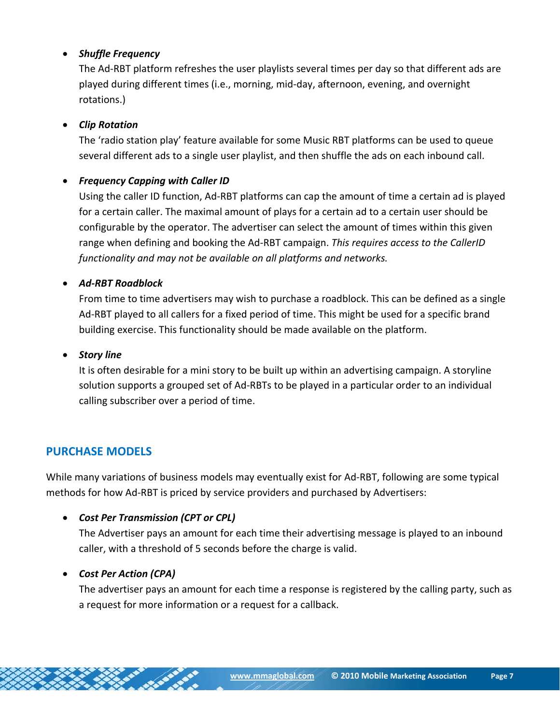## • *Shuffle Frequency*

The Ad‐RBT platform refreshes the user playlists several times per day so that different ads are played during different times (i.e., morning, mid‐day, afternoon, evening, and overnight rotations.)

### • *Clip Rotation*

The 'radio station play' feature available for some Music RBT platforms can be used to queue several different ads to a single user playlist, and then shuffle the ads on each inbound call.

### • *Frequency Capping with Caller ID*

Using the caller ID function, Ad‐RBT platforms can cap the amount of time a certain ad is played for a certain caller. The maximal amount of plays for a certain ad to a certain user should be configurable by the operator. The advertiser can select the amount of times within this given range when defining and booking the Ad‐RBT campaign. *This requires access to the CallerID functionality and may not be available on all platforms and networks.*

#### • *Ad‐RBT Roadblock*

From time to time advertisers may wish to purchase a roadblock. This can be defined as a single Ad‐RBT played to all callers for a fixed period of time. This might be used for a specific brand building exercise. This functionality should be made available on the platform.

#### $\bullet$  *Story line*

It is often desirable for a mini story to be built up within an advertising campaign. A storyline solution supports a grouped set of Ad‐RBTs to be played in a particular order to an individual calling subscriber over a period of time.

# **PURCHASE MODELS**

While many variations of business models may eventually exist for Ad‐RBT, following are some typical methods for how Ad‐RBT is priced by service providers and purchased by Advertisers:

# • *Cost Per Transmission (CPT or CPL)*

The Advertiser pays an amount for each time their advertising message is played to an inbound caller, with a threshold of 5 seconds before the charge is valid.

# • *Cost Per Action (CPA)*

The advertiser pays an amount for each time a response is registered by the calling party, such as a request for more information or a request for a callback.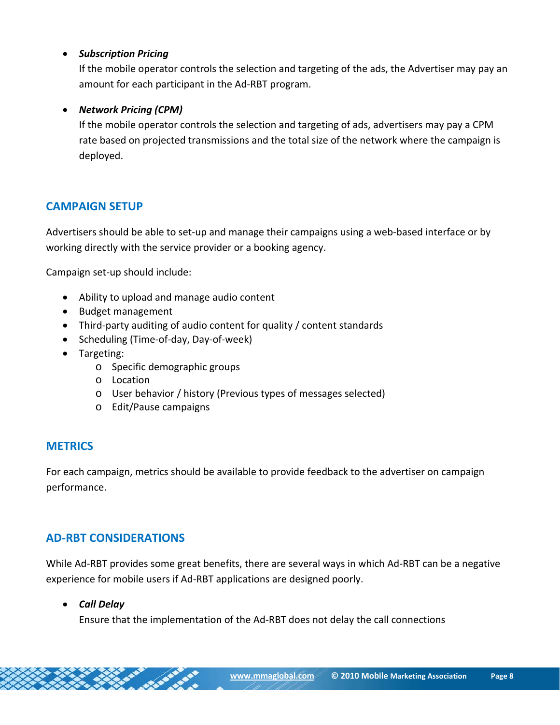### • *Subscription Pricing*

If the mobile operator controls the selection and targeting of the ads, the Advertiser may pay an amount for each participant in the Ad‐RBT program.

#### • *Network Pricing (CPM)*

If the mobile operator controls the selection and targeting of ads, advertisers may pay a CPM rate based on projected transmissions and the total size of the network where the campaign is deployed.

# **CAMPAIGN SETUP**

Advertisers should be able to set‐up and manage their campaigns using a web‐based interface or by working directly with the service provider or a booking agency.

Campaign set‐up should include:

- Ability to upload and manage audio content
- Budget management
- Third‐party auditing of audio content for quality / content standards
- Scheduling (Time‐of‐day, Day‐of‐week)
- Targeting:
	- o Specific demographic groups
	- o Location
	- o User behavior / history (Previous types of messages selected)
	- o Edit/Pause campaigns

# **METRICS**

For each campaign, metrics should be available to provide feedback to the advertiser on campaign performance.

# **AD‐RBT CONSIDERATIONS**

While Ad‐RBT provides some great benefits, there are several ways in which Ad‐RBT can be a negative experience for mobile users if Ad‐RBT applications are designed poorly.

#### • *Call Delay*

Ensure that the implementation of the Ad‐RBT does not delay the call connections